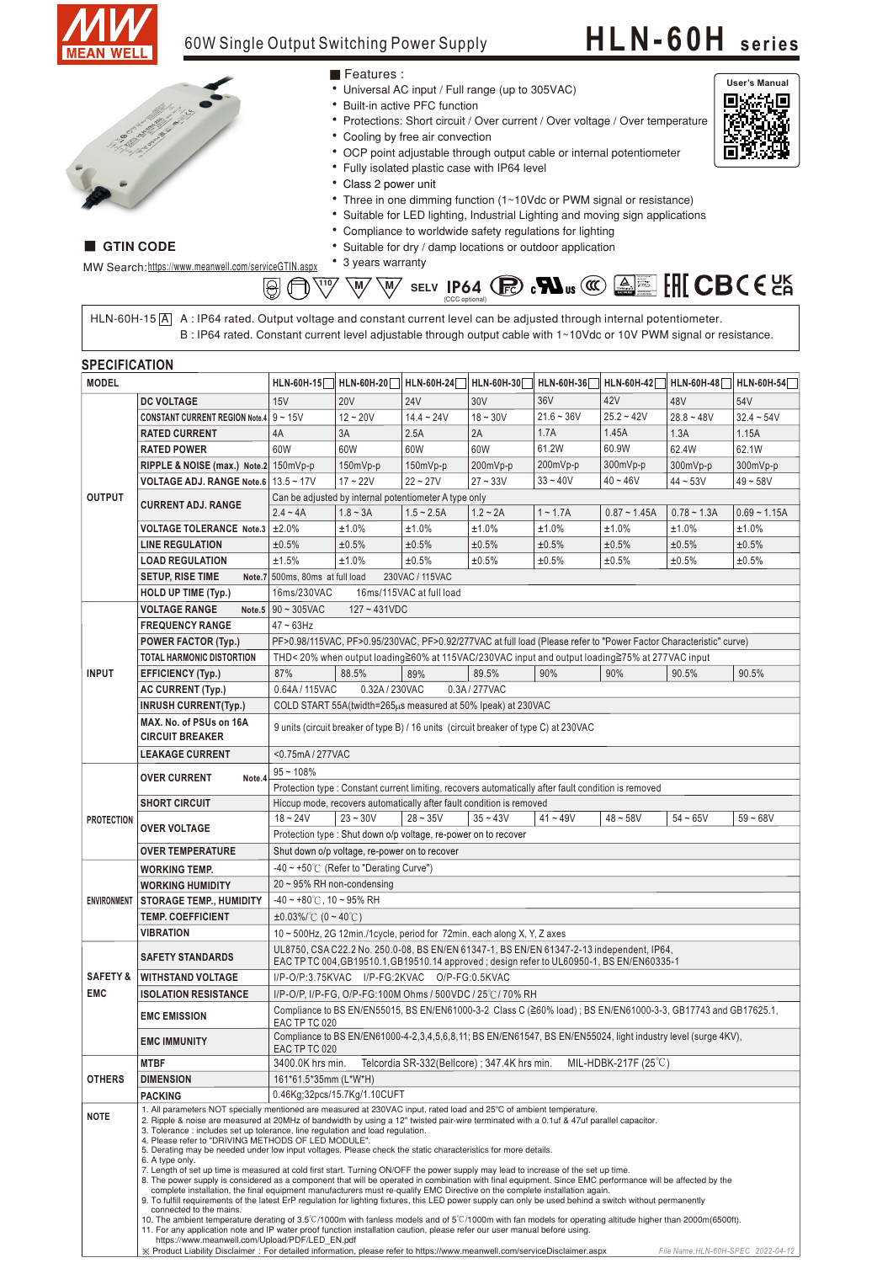

GTIN CODE

#### 60W Single Output Switching Power Supply

#### **HLN-60H <sup>s</sup> <sup>e</sup> ri <sup>e</sup> <sup>s</sup>**



- 
- Suitable for dry / damp locations or outdoor application
- 3 years warranty



HLN-60H-15|A| A: IP64 rated. Output voltage and constant current level can be adjusted through internal potentiometer. B : IP64 rated. Constant current level adjustable through output cable with 1~10Vdc or 10V PWM signal or resistance.

| <b>SPECIFICATION</b> |                                                                                                                           |                                                                                                                                                                                                                                                                                                                                                                                                                                                                                                                                                                                                                                                                                                                                                                                                                                                                                                                                                                                                                                                                                                                                                                                                                                                                                                                                                                                                                                                                                         |                                                                                                                   |                         |                                                               |                                                                                                                |                |                                    |                   |  |  |  |  |  |
|----------------------|---------------------------------------------------------------------------------------------------------------------------|-----------------------------------------------------------------------------------------------------------------------------------------------------------------------------------------------------------------------------------------------------------------------------------------------------------------------------------------------------------------------------------------------------------------------------------------------------------------------------------------------------------------------------------------------------------------------------------------------------------------------------------------------------------------------------------------------------------------------------------------------------------------------------------------------------------------------------------------------------------------------------------------------------------------------------------------------------------------------------------------------------------------------------------------------------------------------------------------------------------------------------------------------------------------------------------------------------------------------------------------------------------------------------------------------------------------------------------------------------------------------------------------------------------------------------------------------------------------------------------------|-------------------------------------------------------------------------------------------------------------------|-------------------------|---------------------------------------------------------------|----------------------------------------------------------------------------------------------------------------|----------------|------------------------------------|-------------------|--|--|--|--|--|
| <b>MODEL</b>         |                                                                                                                           |                                                                                                                                                                                                                                                                                                                                                                                                                                                                                                                                                                                                                                                                                                                                                                                                                                                                                                                                                                                                                                                                                                                                                                                                                                                                                                                                                                                                                                                                                         | HLN-60H-15   HLN-60H-20                                                                                           | HLN-60H-24   HLN-60H-30 |                                                               | HLN-60H-36 HLN-60H-42                                                                                          |                | HLN-60H-48                         | <b>HLN-60H-54</b> |  |  |  |  |  |
|                      | <b>DC VOLTAGE</b>                                                                                                         | 15V                                                                                                                                                                                                                                                                                                                                                                                                                                                                                                                                                                                                                                                                                                                                                                                                                                                                                                                                                                                                                                                                                                                                                                                                                                                                                                                                                                                                                                                                                     | <b>20V</b>                                                                                                        | <b>24V</b>              | 30V                                                           | 36V                                                                                                            | 42V            | 48V                                | 54V               |  |  |  |  |  |
|                      | <b>CONSTANT CURRENT REGION Note.4</b>                                                                                     | $9 - 15V$                                                                                                                                                                                                                                                                                                                                                                                                                                                                                                                                                                                                                                                                                                                                                                                                                                                                                                                                                                                                                                                                                                                                                                                                                                                                                                                                                                                                                                                                               | $12 - 20V$                                                                                                        | $14.4 - 24V$            | $18 - 30V$                                                    | $21.6 - 36V$                                                                                                   | $25.2 - 42V$   | $28.8 - 48V$                       | $32.4 - 54V$      |  |  |  |  |  |
|                      | <b>RATED CURRENT</b>                                                                                                      | 4A                                                                                                                                                                                                                                                                                                                                                                                                                                                                                                                                                                                                                                                                                                                                                                                                                                                                                                                                                                                                                                                                                                                                                                                                                                                                                                                                                                                                                                                                                      | 3A                                                                                                                | 2.5A                    | 2A                                                            | 1.7A                                                                                                           | 1.45A          | 1.3A                               | 1.15A             |  |  |  |  |  |
|                      | <b>RATED POWER</b>                                                                                                        | 60W                                                                                                                                                                                                                                                                                                                                                                                                                                                                                                                                                                                                                                                                                                                                                                                                                                                                                                                                                                                                                                                                                                                                                                                                                                                                                                                                                                                                                                                                                     | 60W                                                                                                               | 60W                     | 60W                                                           | 61.2W                                                                                                          | 60.9W          | 62.4W                              | 62.1W             |  |  |  |  |  |
|                      | RIPPLE & NOISE (max.) Note.2                                                                                              | 150mVp-p                                                                                                                                                                                                                                                                                                                                                                                                                                                                                                                                                                                                                                                                                                                                                                                                                                                                                                                                                                                                                                                                                                                                                                                                                                                                                                                                                                                                                                                                                | 150mVp-p                                                                                                          | $150mVp-p$              | 200mVp-p                                                      | 200mVp-p                                                                                                       | 300mVp-p       | 300mVp-p                           | 300mVp-p          |  |  |  |  |  |
|                      | <b>VOLTAGE ADJ. RANGE Note.6</b>                                                                                          | $13.5 - 17V$                                                                                                                                                                                                                                                                                                                                                                                                                                                                                                                                                                                                                                                                                                                                                                                                                                                                                                                                                                                                                                                                                                                                                                                                                                                                                                                                                                                                                                                                            | $17 - 22V$                                                                                                        | $22 - 27V$              | $27 - 33V$                                                    | $33 - 40V$                                                                                                     | $40 - 46V$     | $44 - 53V$                         | $49 - 58V$        |  |  |  |  |  |
| <b>OUTPUT</b>        |                                                                                                                           |                                                                                                                                                                                                                                                                                                                                                                                                                                                                                                                                                                                                                                                                                                                                                                                                                                                                                                                                                                                                                                                                                                                                                                                                                                                                                                                                                                                                                                                                                         | Can be adjusted by internal potentiometer A type only                                                             |                         |                                                               |                                                                                                                |                |                                    |                   |  |  |  |  |  |
|                      | <b>CURRENT ADJ. RANGE</b>                                                                                                 | $2.4 - 4A$                                                                                                                                                                                                                                                                                                                                                                                                                                                                                                                                                                                                                                                                                                                                                                                                                                                                                                                                                                                                                                                                                                                                                                                                                                                                                                                                                                                                                                                                              | $1.8 - 3A$                                                                                                        | $1.5 - 2.5A$            | $1.2 - 2A$                                                    | $1 - 1.7A$                                                                                                     | $0.87 - 1.45A$ | $0.78 - 1.3A$                      | $0.69 - 1.15A$    |  |  |  |  |  |
|                      | <b>VOLTAGE TOLERANCE Note.3</b>                                                                                           | ±2.0%                                                                                                                                                                                                                                                                                                                                                                                                                                                                                                                                                                                                                                                                                                                                                                                                                                                                                                                                                                                                                                                                                                                                                                                                                                                                                                                                                                                                                                                                                   | ±1.0%                                                                                                             | ±1.0%                   | ±1.0%                                                         | ±1.0%                                                                                                          | ±1.0%          | ±1.0%                              | ±1.0%             |  |  |  |  |  |
|                      | <b>LINE REGULATION</b>                                                                                                    | ±0.5%                                                                                                                                                                                                                                                                                                                                                                                                                                                                                                                                                                                                                                                                                                                                                                                                                                                                                                                                                                                                                                                                                                                                                                                                                                                                                                                                                                                                                                                                                   | ±0.5%                                                                                                             | ±0.5%                   | ±0.5%                                                         | ±0.5%                                                                                                          | ±0.5%          | ±0.5%                              | ±0.5%             |  |  |  |  |  |
|                      | <b>LOAD REGULATION</b>                                                                                                    | ±1.5%                                                                                                                                                                                                                                                                                                                                                                                                                                                                                                                                                                                                                                                                                                                                                                                                                                                                                                                                                                                                                                                                                                                                                                                                                                                                                                                                                                                                                                                                                   | ±1.0%                                                                                                             | ±0.5%                   | ±0.5%                                                         | ±0.5%                                                                                                          | ±0.5%          | ±0.5%                              | ±0.5%             |  |  |  |  |  |
|                      | <b>SETUP, RISE TIME</b>                                                                                                   | Note.7 500ms, 80ms at full load                                                                                                                                                                                                                                                                                                                                                                                                                                                                                                                                                                                                                                                                                                                                                                                                                                                                                                                                                                                                                                                                                                                                                                                                                                                                                                                                                                                                                                                         |                                                                                                                   | 230VAC / 115VAC         |                                                               |                                                                                                                |                |                                    |                   |  |  |  |  |  |
|                      | <b>HOLD UP TIME (Typ.)</b>                                                                                                |                                                                                                                                                                                                                                                                                                                                                                                                                                                                                                                                                                                                                                                                                                                                                                                                                                                                                                                                                                                                                                                                                                                                                                                                                                                                                                                                                                                                                                                                                         |                                                                                                                   |                         |                                                               |                                                                                                                |                |                                    |                   |  |  |  |  |  |
|                      |                                                                                                                           | 16ms/230VAC<br>16ms/115VAC at full load                                                                                                                                                                                                                                                                                                                                                                                                                                                                                                                                                                                                                                                                                                                                                                                                                                                                                                                                                                                                                                                                                                                                                                                                                                                                                                                                                                                                                                                 |                                                                                                                   |                         |                                                               |                                                                                                                |                |                                    |                   |  |  |  |  |  |
|                      | <b>VOLTAGE RANGE</b><br>Note.5                                                                                            | $90 - 305$ VAC<br>$127 - 431VDC$                                                                                                                                                                                                                                                                                                                                                                                                                                                                                                                                                                                                                                                                                                                                                                                                                                                                                                                                                                                                                                                                                                                                                                                                                                                                                                                                                                                                                                                        |                                                                                                                   |                         |                                                               |                                                                                                                |                |                                    |                   |  |  |  |  |  |
|                      | <b>FREQUENCY RANGE</b>                                                                                                    |                                                                                                                                                                                                                                                                                                                                                                                                                                                                                                                                                                                                                                                                                                                                                                                                                                                                                                                                                                                                                                                                                                                                                                                                                                                                                                                                                                                                                                                                                         | $47 - 63$ Hz                                                                                                      |                         |                                                               |                                                                                                                |                |                                    |                   |  |  |  |  |  |
|                      | <b>POWER FACTOR (Typ.)</b>                                                                                                |                                                                                                                                                                                                                                                                                                                                                                                                                                                                                                                                                                                                                                                                                                                                                                                                                                                                                                                                                                                                                                                                                                                                                                                                                                                                                                                                                                                                                                                                                         | PF>0.98/115VAC, PF>0.95/230VAC, PF>0.92/277VAC at full load (Please refer to "Power Factor Characteristic" curve) |                         |                                                               |                                                                                                                |                |                                    |                   |  |  |  |  |  |
|                      | <b>TOTAL HARMONIC DISTORTION</b>                                                                                          |                                                                                                                                                                                                                                                                                                                                                                                                                                                                                                                                                                                                                                                                                                                                                                                                                                                                                                                                                                                                                                                                                                                                                                                                                                                                                                                                                                                                                                                                                         | THD< 20% when output loading≧60% at 115VAC/230VAC input and output loading≧75% at 277VAC input                    |                         |                                                               |                                                                                                                |                |                                    |                   |  |  |  |  |  |
| <b>INPUT</b>         | <b>EFFICIENCY (Typ.)</b>                                                                                                  | 87%<br>90.5%<br>88.5%<br>89.5%<br>90%<br>90%<br>90.5%<br>89%                                                                                                                                                                                                                                                                                                                                                                                                                                                                                                                                                                                                                                                                                                                                                                                                                                                                                                                                                                                                                                                                                                                                                                                                                                                                                                                                                                                                                            |                                                                                                                   |                         |                                                               |                                                                                                                |                |                                    |                   |  |  |  |  |  |
|                      | <b>AC CURRENT (Typ.)</b>                                                                                                  | 0.64A / 115VAC<br>0.32A / 230VAC<br>0.3A / 277VAC                                                                                                                                                                                                                                                                                                                                                                                                                                                                                                                                                                                                                                                                                                                                                                                                                                                                                                                                                                                                                                                                                                                                                                                                                                                                                                                                                                                                                                       |                                                                                                                   |                         |                                                               |                                                                                                                |                |                                    |                   |  |  |  |  |  |
|                      | <b>INRUSH CURRENT(Typ.)</b>                                                                                               |                                                                                                                                                                                                                                                                                                                                                                                                                                                                                                                                                                                                                                                                                                                                                                                                                                                                                                                                                                                                                                                                                                                                                                                                                                                                                                                                                                                                                                                                                         |                                                                                                                   |                         | COLD START 55A (twidth=265µs measured at 50% Ipeak) at 230VAC |                                                                                                                |                |                                    |                   |  |  |  |  |  |
|                      | MAX. No. of PSUs on 16A<br><b>CIRCUIT BREAKER</b>                                                                         | 9 units (circuit breaker of type B) / 16 units (circuit breaker of type C) at 230VAC                                                                                                                                                                                                                                                                                                                                                                                                                                                                                                                                                                                                                                                                                                                                                                                                                                                                                                                                                                                                                                                                                                                                                                                                                                                                                                                                                                                                    |                                                                                                                   |                         |                                                               |                                                                                                                |                |                                    |                   |  |  |  |  |  |
|                      | <b>LEAKAGE CURRENT</b>                                                                                                    |                                                                                                                                                                                                                                                                                                                                                                                                                                                                                                                                                                                                                                                                                                                                                                                                                                                                                                                                                                                                                                                                                                                                                                                                                                                                                                                                                                                                                                                                                         | <0.75mA/277VAC                                                                                                    |                         |                                                               |                                                                                                                |                |                                    |                   |  |  |  |  |  |
|                      |                                                                                                                           | $95 - 108%$                                                                                                                                                                                                                                                                                                                                                                                                                                                                                                                                                                                                                                                                                                                                                                                                                                                                                                                                                                                                                                                                                                                                                                                                                                                                                                                                                                                                                                                                             |                                                                                                                   |                         |                                                               |                                                                                                                |                |                                    |                   |  |  |  |  |  |
| <b>PROTECTION</b>    | <b>OVER CURRENT</b><br>Note.4                                                                                             | Protection type : Constant current limiting, recovers automatically after fault condition is removed                                                                                                                                                                                                                                                                                                                                                                                                                                                                                                                                                                                                                                                                                                                                                                                                                                                                                                                                                                                                                                                                                                                                                                                                                                                                                                                                                                                    |                                                                                                                   |                         |                                                               |                                                                                                                |                |                                    |                   |  |  |  |  |  |
|                      | <b>SHORT CIRCUIT</b>                                                                                                      | Hiccup mode, recovers automatically after fault condition is removed                                                                                                                                                                                                                                                                                                                                                                                                                                                                                                                                                                                                                                                                                                                                                                                                                                                                                                                                                                                                                                                                                                                                                                                                                                                                                                                                                                                                                    |                                                                                                                   |                         |                                                               |                                                                                                                |                |                                    |                   |  |  |  |  |  |
|                      |                                                                                                                           | $18 - 24V$                                                                                                                                                                                                                                                                                                                                                                                                                                                                                                                                                                                                                                                                                                                                                                                                                                                                                                                                                                                                                                                                                                                                                                                                                                                                                                                                                                                                                                                                              | $23 - 30V$                                                                                                        | $28 - 35V$              | $35 - 43V$                                                    | $41 - 49V$                                                                                                     | $48 - 58V$     | $54 - 65V$                         | $59 - 68V$        |  |  |  |  |  |
|                      | <b>OVER VOLTAGE</b>                                                                                                       | Protection type: Shut down o/p voltage, re-power on to recover                                                                                                                                                                                                                                                                                                                                                                                                                                                                                                                                                                                                                                                                                                                                                                                                                                                                                                                                                                                                                                                                                                                                                                                                                                                                                                                                                                                                                          |                                                                                                                   |                         |                                                               |                                                                                                                |                |                                    |                   |  |  |  |  |  |
|                      | <b>OVER TEMPERATURE</b>                                                                                                   | Shut down o/p voltage, re-power on to recover                                                                                                                                                                                                                                                                                                                                                                                                                                                                                                                                                                                                                                                                                                                                                                                                                                                                                                                                                                                                                                                                                                                                                                                                                                                                                                                                                                                                                                           |                                                                                                                   |                         |                                                               |                                                                                                                |                |                                    |                   |  |  |  |  |  |
|                      | <b>WORKING TEMP.</b>                                                                                                      | -40 ~ +50℃ (Refer to "Derating Curve")                                                                                                                                                                                                                                                                                                                                                                                                                                                                                                                                                                                                                                                                                                                                                                                                                                                                                                                                                                                                                                                                                                                                                                                                                                                                                                                                                                                                                                                  |                                                                                                                   |                         |                                                               |                                                                                                                |                |                                    |                   |  |  |  |  |  |
|                      | <b>WORKING HUMIDITY</b>                                                                                                   | $20 \sim 95\%$ RH non-condensing                                                                                                                                                                                                                                                                                                                                                                                                                                                                                                                                                                                                                                                                                                                                                                                                                                                                                                                                                                                                                                                                                                                                                                                                                                                                                                                                                                                                                                                        |                                                                                                                   |                         |                                                               |                                                                                                                |                |                                    |                   |  |  |  |  |  |
| <b>ENVIRONMENT</b>   | <b>STORAGE TEMP., HUMIDITY</b>                                                                                            | $-40 \sim +80^{\circ}$ C, 10 ~ 95% RH                                                                                                                                                                                                                                                                                                                                                                                                                                                                                                                                                                                                                                                                                                                                                                                                                                                                                                                                                                                                                                                                                                                                                                                                                                                                                                                                                                                                                                                   |                                                                                                                   |                         |                                                               |                                                                                                                |                |                                    |                   |  |  |  |  |  |
|                      | <b>TEMP. COEFFICIENT</b>                                                                                                  | $\pm 0.03\%$ (0 ~ 40°C)                                                                                                                                                                                                                                                                                                                                                                                                                                                                                                                                                                                                                                                                                                                                                                                                                                                                                                                                                                                                                                                                                                                                                                                                                                                                                                                                                                                                                                                                 |                                                                                                                   |                         |                                                               |                                                                                                                |                |                                    |                   |  |  |  |  |  |
|                      | VIBRATION                                                                                                                 | 10 ~ 500Hz, 2G 12min./1cycle, period for 72min. each along X, Y, Z axes                                                                                                                                                                                                                                                                                                                                                                                                                                                                                                                                                                                                                                                                                                                                                                                                                                                                                                                                                                                                                                                                                                                                                                                                                                                                                                                                                                                                                 |                                                                                                                   |                         |                                                               |                                                                                                                |                |                                    |                   |  |  |  |  |  |
|                      |                                                                                                                           | UL8750, CSA C22.2 No. 250.0-08, BS EN/EN 61347-1, BS EN/EN 61347-2-13 independent, IP64.                                                                                                                                                                                                                                                                                                                                                                                                                                                                                                                                                                                                                                                                                                                                                                                                                                                                                                                                                                                                                                                                                                                                                                                                                                                                                                                                                                                                |                                                                                                                   |                         |                                                               |                                                                                                                |                |                                    |                   |  |  |  |  |  |
|                      | <b>SAFETY STANDARDS</b>                                                                                                   | EAC TP TC 004,GB19510.1,GB19510.14 approved ; design refer to UL60950-1, BS EN/EN60335-1                                                                                                                                                                                                                                                                                                                                                                                                                                                                                                                                                                                                                                                                                                                                                                                                                                                                                                                                                                                                                                                                                                                                                                                                                                                                                                                                                                                                |                                                                                                                   |                         |                                                               |                                                                                                                |                |                                    |                   |  |  |  |  |  |
| <b>SAFETY &amp;</b>  | <b>WITHSTAND VOLTAGE</b>                                                                                                  |                                                                                                                                                                                                                                                                                                                                                                                                                                                                                                                                                                                                                                                                                                                                                                                                                                                                                                                                                                                                                                                                                                                                                                                                                                                                                                                                                                                                                                                                                         | I/P-O/P:3.75KVAC I/P-FG:2KVAC O/P-FG:0.5KVAC                                                                      |                         |                                                               |                                                                                                                |                |                                    |                   |  |  |  |  |  |
| <b>EMC</b>           | <b>ISOLATION RESISTANCE</b>                                                                                               |                                                                                                                                                                                                                                                                                                                                                                                                                                                                                                                                                                                                                                                                                                                                                                                                                                                                                                                                                                                                                                                                                                                                                                                                                                                                                                                                                                                                                                                                                         |                                                                                                                   |                         | I/P-O/P. I/P-FG. O/P-FG:100M Ohms / 500VDC / 25°C / 70% RH    |                                                                                                                |                |                                    |                   |  |  |  |  |  |
|                      | <b>EMC EMISSION</b>                                                                                                       | EAC TP TC 020                                                                                                                                                                                                                                                                                                                                                                                                                                                                                                                                                                                                                                                                                                                                                                                                                                                                                                                                                                                                                                                                                                                                                                                                                                                                                                                                                                                                                                                                           |                                                                                                                   |                         |                                                               | Compliance to BS EN/EN55015, BS EN/EN61000-3-2 Class C (≧60% load) ; BS EN/EN61000-3-3, GB17743 and GB17625.1, |                |                                    |                   |  |  |  |  |  |
|                      | <b>EMC IMMUNITY</b>                                                                                                       | EAC TP TC 020                                                                                                                                                                                                                                                                                                                                                                                                                                                                                                                                                                                                                                                                                                                                                                                                                                                                                                                                                                                                                                                                                                                                                                                                                                                                                                                                                                                                                                                                           |                                                                                                                   |                         |                                                               | Compliance to BS EN/EN61000-4-2,3,4,5,6,8,11; BS EN/EN61547, BS EN/EN55024, light industry level (surge 4KV),  |                |                                    |                   |  |  |  |  |  |
|                      | <b>MTBF</b>                                                                                                               | 3400.0K hrs min.<br>Telcordia SR-332(Bellcore); 347.4K hrs min.<br>MIL-HDBK-217F $(25^{\circ}$ C)                                                                                                                                                                                                                                                                                                                                                                                                                                                                                                                                                                                                                                                                                                                                                                                                                                                                                                                                                                                                                                                                                                                                                                                                                                                                                                                                                                                       |                                                                                                                   |                         |                                                               |                                                                                                                |                |                                    |                   |  |  |  |  |  |
| <b>OTHERS</b>        | <b>DIMENSION</b>                                                                                                          | 161*61.5*35mm (L*W*H)                                                                                                                                                                                                                                                                                                                                                                                                                                                                                                                                                                                                                                                                                                                                                                                                                                                                                                                                                                                                                                                                                                                                                                                                                                                                                                                                                                                                                                                                   |                                                                                                                   |                         |                                                               |                                                                                                                |                |                                    |                   |  |  |  |  |  |
|                      | <b>PACKING</b>                                                                                                            | 0.46Kg;32pcs/15.7Kg/1.10CUFT                                                                                                                                                                                                                                                                                                                                                                                                                                                                                                                                                                                                                                                                                                                                                                                                                                                                                                                                                                                                                                                                                                                                                                                                                                                                                                                                                                                                                                                            |                                                                                                                   |                         |                                                               |                                                                                                                |                |                                    |                   |  |  |  |  |  |
| <b>NOTE</b>          | 6. A type only.<br>connected to the mains.                                                                                | 1. All parameters NOT specially mentioned are measured at 230VAC input, rated load and 25°C of ambient temperature.<br>2. Ripple & noise are measured at 20MHz of bandwidth by using a 12" twisted pair-wire terminated with a 0.1uf & 47uf parallel capacitor.<br>3. Tolerance: includes set up tolerance, line regulation and load regulation.<br>4. Please refer to "DRIVING METHODS OF LED MODULE".<br>5. Derating may be needed under low input voltages. Please check the static characteristics for more details.<br>7. Length of set up time is measured at cold first start. Turning ON/OFF the power supply may lead to increase of the set up time.<br>8. The power supply is considered as a component that will be operated in combination with final equipment. Since EMC performance will be affected by the<br>complete installation, the final equipment manufacturers must re-qualify EMC Directive on the complete installation again.<br>9. To fulfill requirements of the latest ErP regulation for lighting fixtures, this LED power supply can only be used behind a switch without permanently<br>10. The ambient temperature derating of $3.5^{\circ}$ C/1000m with fanless models and of $5^{\circ}$ C/1000m with fan models for operating altitude higher than 2000m(6500ft).<br>11. For any application note and IP water proof function installation caution, please refer our user manual before using.<br>https://www.meanwell.com/Upload/PDF/LED EN.pdf |                                                                                                                   |                         |                                                               |                                                                                                                |                |                                    |                   |  |  |  |  |  |
|                      | X Product Liability Disclaimer: For detailed information, please refer to https://www.meanwell.com/serviceDisclaimer.aspx |                                                                                                                                                                                                                                                                                                                                                                                                                                                                                                                                                                                                                                                                                                                                                                                                                                                                                                                                                                                                                                                                                                                                                                                                                                                                                                                                                                                                                                                                                         |                                                                                                                   |                         |                                                               |                                                                                                                |                | File Name: HLN-60H-SPEC 2022-04-12 |                   |  |  |  |  |  |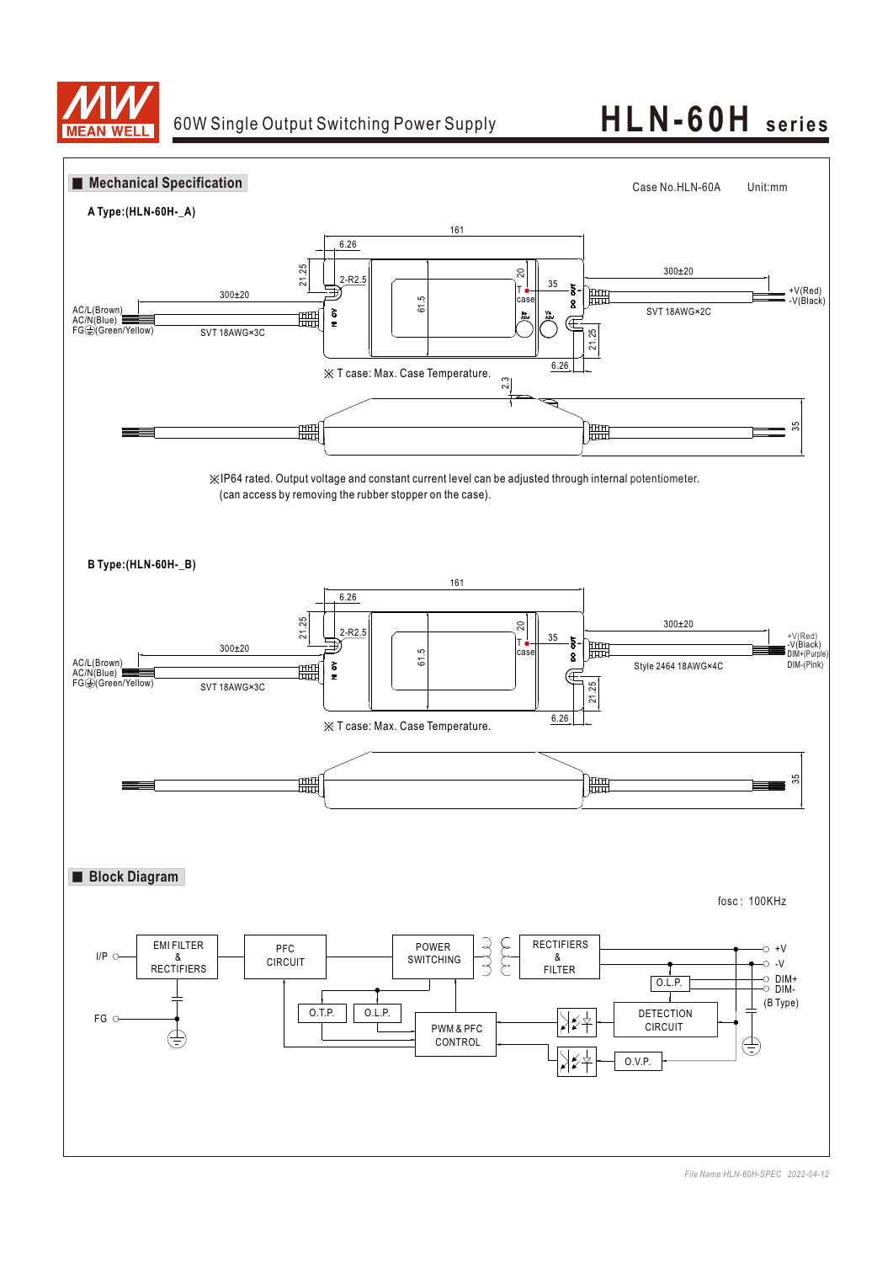

# 60W Single Output Switching Power Supply **HLN-60H seri es**

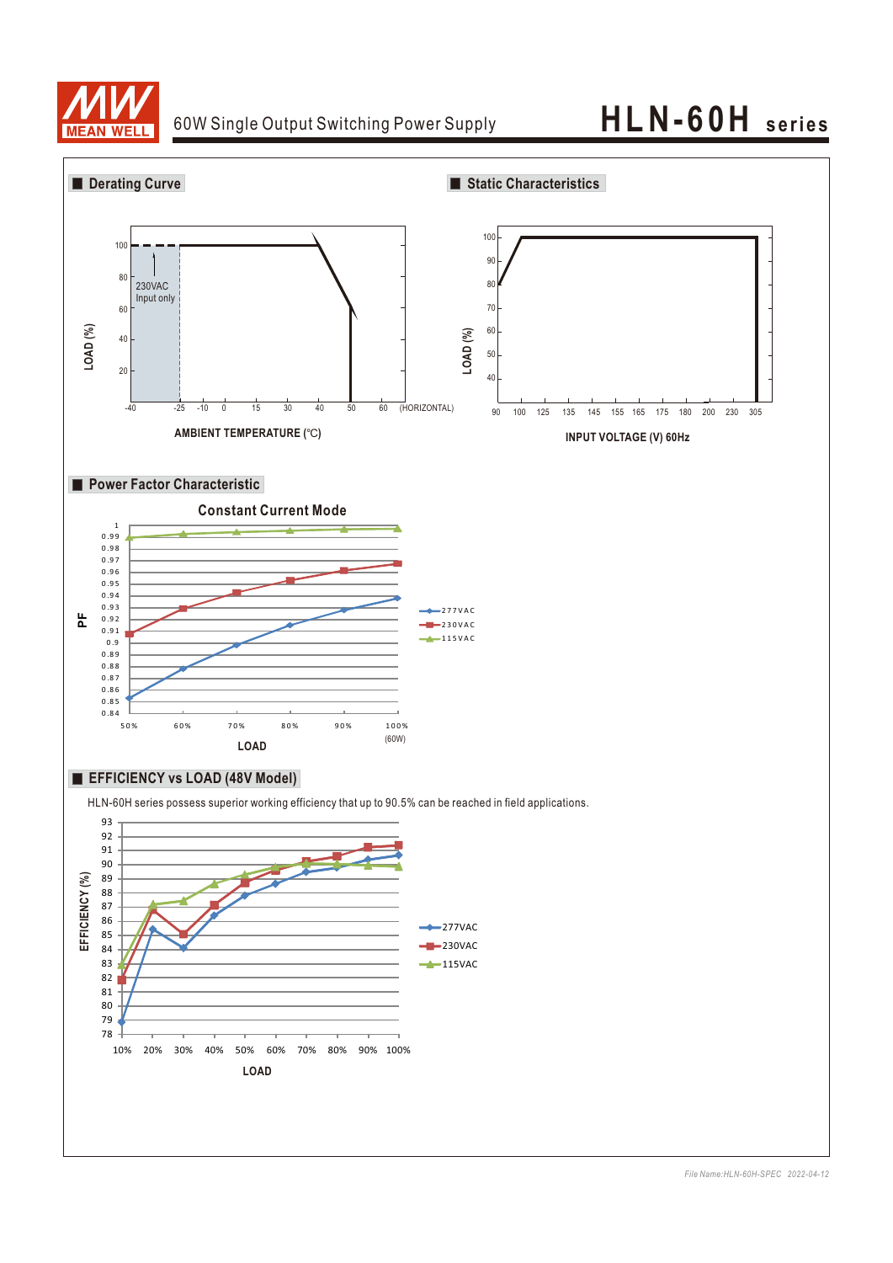

### 60W Single Output Switching Power Supply **HLN-60H seri es**

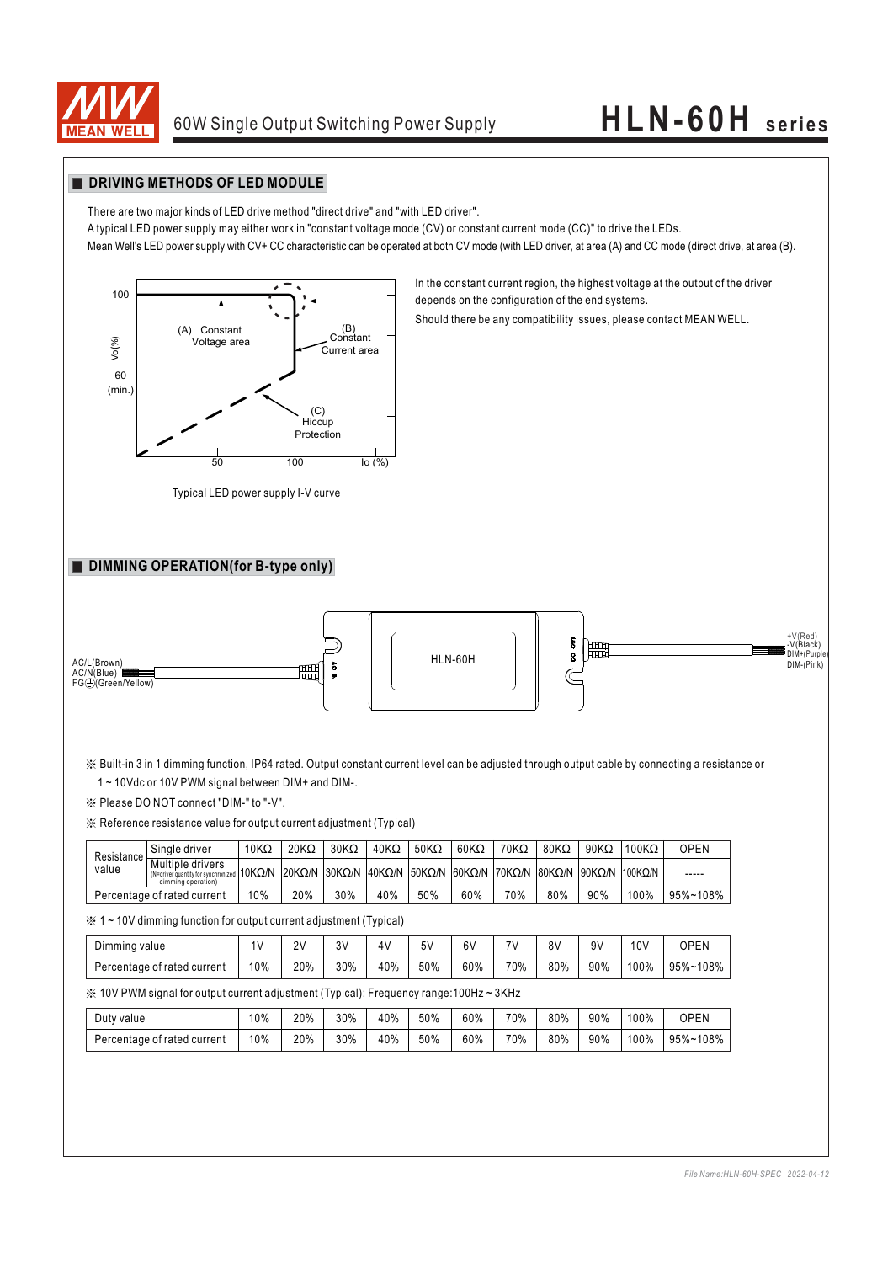

# 60W Single Output Switching Power Supply **HLN-60H series**

#### **DRIVING METHODS OF LED MODULE**

There are two major kinds of LED drive method "direct drive" and "with LED driver".

A typical LED power supply may either work in "constant voltage mode (CV) or constant current mode (CC)" to drive the LEDs.

Mean Well's LED power supply with CV+ CC characteristic can be operated at both CV mode (with LED driver, at area (A) and CC mode (direct drive, at area (B).



Typical LED power supply I-V curve

In the constant current region, the highest voltage at the output of the driver depends on the configuration of the end systems.

Should there be any compatibility issues, please contact MEAN WELL.

#### **DIMMING OPERATION(for B-type only)**



※ Built-in 3 in 1 dimming function, IP64 rated. Output constant current level can be adjusted through output cable by connecting a resistance or 1 ~ 10Vdc or 10V PWM signal between DIM+ and DIM-.

※ Please DO NOT connect "DIM-" to "-V".

※ Reference resistance value for output current adjustment (Typical)

| Resistance<br>value         | Single driver                                                                                                | $10K\Omega$ | $20K\Omega$ | $30K\Omega$ | $40K\Omega$ | $50K\Omega$ | $60K\Omega$                                                      | $70K\Omega$ | $80K\Omega$ | $90K\Omega$ | $100K\Omega$ | OPEN     |
|-----------------------------|--------------------------------------------------------------------------------------------------------------|-------------|-------------|-------------|-------------|-------------|------------------------------------------------------------------|-------------|-------------|-------------|--------------|----------|
|                             | Multiple drivers<br>$\frac{1}{2}$ (N=driver quantity for synchronized   10K $\Omega/N$<br>dimming operation) |             |             |             |             |             | 20KQ/N 30KQ/N 40KQ/N 50KQ/N 60KQ/N 70KQ/N 80KQ/N 90KQ/N 1100KQ/N |             |             |             |              | -----    |
| Percentage of rated current |                                                                                                              | 10%         | 20%         | 30%         | 40%         | 50%         | 60%                                                              | 70%         | 80%         | 90%         | 100%         | 95%~108% |

※ 1 ~ 10V dimming function for output current adjustment (Typical)

| Dimming value               |     | 2V  | 3V  | 4V  | 5٧  | 6V  | 711 | 8V  | ۹V  | 10 <sub>V</sub> | <b>OPEN</b> |
|-----------------------------|-----|-----|-----|-----|-----|-----|-----|-----|-----|-----------------|-------------|
| Percentage of rated current | 10% | 20% | 30% | 40% | 50% | 60% | 70% | 80% | 90% | 100%            | 95%~108%    |

※ 10V PWM signal for output current adjustment (Typical): Frequency range:100Hz ~ 3KHz

| Duty value                  | 10% | 20% | 30% | 40% | 50% | 60% | 70% | 80% | 90% | 100% | <b>OPEN</b> |
|-----------------------------|-----|-----|-----|-----|-----|-----|-----|-----|-----|------|-------------|
| Percentage of rated current | 10% | 20% | 30% | 40% | 50% | 60% | 70% | 80% | 90% | 100% | 95%~108%    |